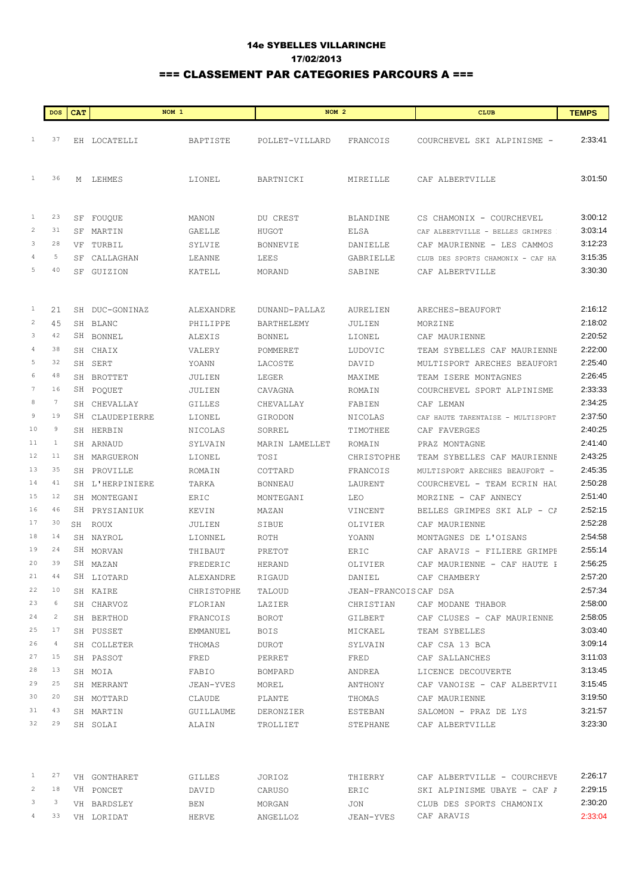## 14e SYBELLES VILLARINCHE 17/02/2013 === CLASSEMENT PAR CATEGORIES PARCOURS A ===

| <b>DOS</b>      |              | <b>CAT</b> | NOM <sub>1</sub> |            | NOM <sub>2</sub>  |                       | <b>CLUB</b>                       | <b>TEMPS</b> |
|-----------------|--------------|------------|------------------|------------|-------------------|-----------------------|-----------------------------------|--------------|
|                 |              |            |                  |            |                   |                       |                                   |              |
| $\mathbf{1}$    | 37           |            | EH LOCATELLI     | BAPTISTE   | POLLET-VILLARD    | FRANCOIS              | COURCHEVEL SKI ALPINISME -        | 2:33:41      |
|                 |              |            |                  |            |                   |                       |                                   |              |
| $\mathbf{1}$    | 36           |            |                  |            |                   |                       |                                   | 3:01:50      |
|                 |              |            | M LEHMES         | LIONEL     | BARTNICKI         | MIREILLE              | CAF ALBERTVILLE                   |              |
|                 |              |            |                  |            |                   |                       |                                   |              |
| $\mathbf{1}$    | 23           |            | SF FOUQUE        | MANON      | DU CREST          | <b>BLANDINE</b>       | CS CHAMONIX - COURCHEVEL          | 3:00:12      |
| $\overline{c}$  | 31           | SF         | MARTIN           | GAELLE     | HUGOT             | ELSA                  | CAF ALBERTVILLE - BELLES GRIMPES  | 3:03:14      |
| 3               | 28           | VF         | TURBIL           | SYLVIE     | <b>BONNEVIE</b>   | DANIELLE              | CAF MAURIENNE - LES CAMMOS        | 3:12:23      |
| 4               | 5            | SF         | CALLAGHAN        | LEANNE     | LEES              | GABRIELLE             | CLUB DES SPORTS CHAMONIX - CAF HA | 3:15:35      |
| 5               | 40           |            | SF GUIZION       | KATELL     | MORAND            | SABINE                | CAF ALBERTVILLE                   | 3:30:30      |
|                 |              |            |                  |            |                   |                       |                                   |              |
| $\mathbf{1}$    | 21           |            | SH DUC-GONINAZ   | ALEXANDRE  | DUNAND-PALLAZ     | AURELIEN              | ARECHES-BEAUFORT                  | 2:16:12      |
| $\overline{c}$  | 45           |            | SH BLANC         | PHILIPPE   | <b>BARTHELEMY</b> | JULIEN                | MORZINE                           | 2:18:02      |
| 3               | 42           |            | SH BONNEL        | ALEXIS     | <b>BONNEL</b>     | LIONEL                | CAF MAURIENNE                     | 2:20:52      |
| 4               | 38           |            | SH CHAIX         | VALERY     | POMMERET          | LUDOVIC               | TEAM SYBELLES CAF MAURIENNE       | 2:22:00      |
| 5               | 32           |            | SH SERT          | YOANN      | LACOSTE           | DAVID                 | MULTISPORT ARECHES BEAUFORT       | 2:25:40      |
| 6               | 48           |            | SH BROTTET       | JULIEN     | LEGER             | MAXIME                | TEAM ISERE MONTAGNES              | 2:26:45      |
| $7\phantom{.0}$ | 16           |            | SH POQUET        | JULIEN     | CAVAGNA           | ROMAIN                | COURCHEVEL SPORT ALPINISME        | 2:33:33      |
| 8               | 7            |            | SH CHEVALLAY     | GILLES     | CHEVALLAY         | FABIEN                | CAF LEMAN                         | 2:34:25      |
| 9               | 19           |            | SH CLAUDEPIERRE  | LIONEL     | GIRODON           | NICOLAS               | CAF HAUTE TARENTAISE - MULTISPORT | 2:37:50      |
| 10              | 9            |            | SH HERBIN        | NICOLAS    | SORREL            | TIMOTHEE              | CAF FAVERGES                      | 2:40:25      |
| 11              | $\mathbf{1}$ |            | SH ARNAUD        | SYLVAIN    | MARIN LAMELLET    | ROMAIN                | PRAZ MONTAGNE                     | 2:41:40      |
| 12              | 11           |            | SH MARGUERON     | LIONEL     | TOSI              | CHRISTOPHE            | TEAM SYBELLES CAF MAURIENNE       | 2:43:25      |
| 13              | 35           |            | SH PROVILLE      | ROMAIN     | COTTARD           | FRANCOIS              | MULTISPORT ARECHES BEAUFORT -     | 2:45:35      |
| 14              | 41           |            | SH L'HERPINIERE  | TARKA      | <b>BONNEAU</b>    | LAURENT               | COURCHEVEL - TEAM ECRIN HAU       | 2:50:28      |
| 15              | 12           |            | SH MONTEGANI     | ERIC       | MONTEGANI         | LEO                   | MORZINE - CAF ANNECY              | 2:51:40      |
| 16              | 46           |            | SH PRYSIANIUK    | KEVIN      | MAZAN             | VINCENT               | BELLES GRIMPES SKI ALP - CA       | 2:52:15      |
| 17              | 30           |            | SH ROUX          | JULIEN     | SIBUE             | OLIVIER               | CAF MAURIENNE                     | 2:52:28      |
| 18              | 14           |            | SH NAYROL        | LIONNEL    | ROTH              | YOANN                 | MONTAGNES DE L'OISANS             | 2:54:58      |
| 19              | 24           |            | SH MORVAN        | THIBAUT    | PRETOT            | ERIC                  | CAF ARAVIS - FILIERE GRIMPE       | 2:55:14      |
| 20              | 39           |            | SH MAZAN         | FREDERIC   | HERAND            | OLIVIER               | CAF MAURIENNE - CAF HAUTE I       | 2:56:25      |
| 21              | 44           |            | SH LIOTARD       | ALEXANDRE  | RIGAUD            | DANIEL                | CAF CHAMBERY                      | 2:57:20      |
| 22              | 10           |            | SH KAIRE         | CHRISTOPHE | TALOUD            | JEAN-FRANCOIS CAF DSA |                                   | 2:57:34      |
| 23              | 6            |            | SH CHARVOZ       | FLORIAN    | LAZIER            | CHRISTIAN             | CAF MODANE THABOR                 | 2:58:00      |
| 24              | 2            |            | SH BERTHOD       | FRANCOIS   | BOROT             | GILBERT               | CAF CLUSES - CAF MAURIENNE        | 2:58:05      |
| 25              | 17           |            | SH PUSSET        | EMMANUEL   | BOIS              | MICKAEL               | TEAM SYBELLES                     | 3:03:40      |
| 26              | 4            |            | SH COLLETER      | THOMAS     | DUROT             | SYLVAIN               | CAF CSA 13 BCA                    | 3:09:14      |
| 27              | 15           |            | SH PASSOT        | FRED       | PERRET            | FRED                  | CAF SALLANCHES                    | 3:11:03      |
| 28              | 13           |            | SH MOIA          | FABIO      | BOMPARD           | ANDREA                | LICENCE DECOUVERTE                | 3:13:45      |
| 29              | 25           |            | SH MERRANT       | JEAN-YVES  | MOREL             | ANTHONY               | CAF VANOISE - CAF ALBERTVII       | 3:15:45      |
| 30              | 20           |            | SH MOTTARD       | CLAUDE     | PLANTE            | THOMAS                | CAF MAURIENNE                     | 3:19:50      |
| 31              | 43           |            | SH MARTIN        | GUILLAUME  | DERONZIER         | ESTEBAN               | SALOMON - PRAZ DE LYS             | 3:21:57      |
| 32              | 29           |            | SH SOLAI         | ALAIN      | TROLLIET          | STEPHANE              | CAF ALBERTVILLE                   | 3:23:30      |
|                 |              |            |                  |            |                   |                       |                                   |              |
| $\mathbf{1}$    | 27           |            | VH GONTHARET     | GILLES     | JORIOZ            | THIERRY               | CAF ALBERTVILLE - COURCHEVE       | 2:26:17      |
| $\overline{c}$  | 18           |            | VH PONCET        | DAVID      | CARUSO            | ERIC                  | SKI ALPINISME UBAYE - CAF A       | 2:29:15      |
| 3               | 3            |            | VH BARDSLEY      | BEN        | MORGAN            | JON                   | CLUB DES SPORTS CHAMONIX          | 2:30:20      |
| $\frac{4}{3}$   | 33           |            | VH LORIDAT       | HERVE      | ANGELLOZ          | JEAN-YVES             | CAF ARAVIS                        | 2:33:04      |
|                 |              |            |                  |            |                   |                       |                                   |              |